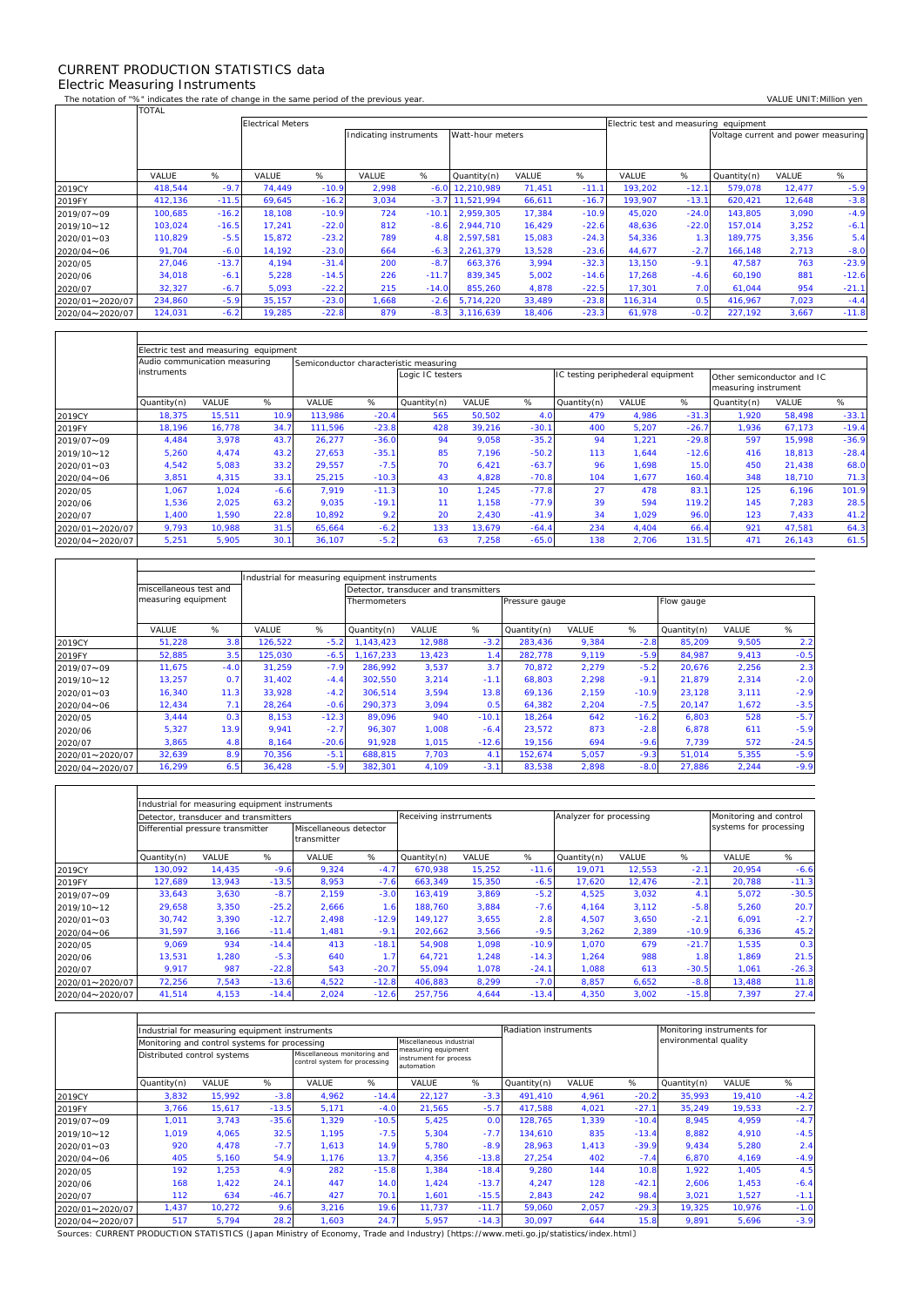## CURRENT PRODUCTION STATISTICS data Electric Measuring Instruments

 $\Gamma$ 

 $\mathbf{r}$ 

 $\overline{\mathsf{T}}$ 

٦

The notation of "%" indicates the rate of change in the same period of the previous year. VALUE UNIT:Million yen<br>TOTAL TOTAL

|                 |         |         | <b>Electrical Meters</b> |         |                                            |         |             |        | Electric test and measuring equipment |         |         |                                     |        |         |
|-----------------|---------|---------|--------------------------|---------|--------------------------------------------|---------|-------------|--------|---------------------------------------|---------|---------|-------------------------------------|--------|---------|
|                 |         |         |                          |         | Watt-hour meters<br>Indicating instruments |         |             |        |                                       |         |         | Voltage current and power measuring |        |         |
|                 |         |         |                          |         |                                            |         |             |        |                                       |         |         |                                     |        |         |
|                 |         |         |                          |         |                                            |         |             |        |                                       |         |         |                                     |        |         |
|                 | VALUE   | %       | VALUE                    | %       | VALUE                                      | %       | Quantity(n) | VALUE  | %                                     | VALUE   | %       | Quantity(n)                         | VALUE  | %       |
| 2019CY          | 418,544 | $-9.7$  | 74,449                   | $-10.9$ | 2,998                                      | $-6.0$  | 12,210,989  | 71,451 | $-11.1$                               | 193,202 | $-12.1$ | 579,078                             | 12,477 | $-5.9$  |
| 2019FY          | 412,136 | $-11.5$ | 69,645                   | $-16.2$ | 3,034                                      | $-3.7$  | 11.521.994  | 66,611 | $-16.7$                               | 193.907 | $-13.1$ | 620.421                             | 12,648 | $-3.8$  |
| 2019/07~09      | 100,685 | $-16.2$ | 18,108                   | $-10.9$ | 724                                        | $-10.1$ | 2.959.305   | 17,384 | $-10.9$                               | 45,020  | $-24.0$ | 143,805                             | 3,090  | $-4.9$  |
| 2019/10~12      | 103.024 | $-16.5$ | 17.241                   | $-22.0$ | 812                                        | $-8.6$  | 2.944.710   | 16,429 | $-22.6$                               | 48.636  | $-22.0$ | 157.014                             | 3,252  | $-6.1$  |
| 2020/01~03      | 110.829 | $-5.5$  | 15.872                   | $-23.2$ | 789                                        | 4.8     | 2.597.581   | 15,083 | $-24.3$                               | 54,336  | 1.3     | 189.775                             | 3,356  | 5.4     |
| 2020/04~06      | 91,704  | $-6.0$  | 14.192                   | $-23.0$ | 664                                        | $-6.3$  | 2.261.379   | 13,528 | $-23.6$                               | 44,677  | $-2.7$  | 166.148                             | 2,713  | $-8.0$  |
| 2020/05         | 27,046  | $-13.7$ | 4,194                    | $-31.4$ | 200                                        | $-8.7$  | 663,376     | 3,994  | $-32.3$                               | 13,150  | $-9.1$  | 47,587                              | 763    | $-23.9$ |
| 2020/06         | 34,018  | $-6.1$  | 5,228                    | $-14.5$ | 226                                        | $-11.7$ | 839.345     | 5,002  | $-14.6$                               | 17.268  | $-4.6$  | 60.190                              | 881    | $-12.6$ |
| 2020/07         | 32,327  | $-6.7$  | 5,093                    | $-22.2$ | 215                                        | $-14.0$ | 855,260     | 4,878  | $-22.5$                               | 17,301  | 7.0     | 61,044                              | 954    | $-21.1$ |
| 2020/01~2020/07 | 234,860 | $-5.9$  | 35.157                   | $-23.0$ | 866,                                       | $-2.6$  | 5,714,220   | 33,489 | $-23.8$                               | 116.314 | 0.5     | 416.967                             | 7,023  | $-4.4$  |
| 2020/04~2020/07 | 124,031 | $-6.2$  | 19,285                   | $-22.8$ | 879                                        | $-8.3$  | 3,116,639   | 18,406 | $-23.3$                               | 61,978  | $-0.2$  | 227,192                             | 3,667  | $-11.8$ |

|                 | Electric test and measuring equipment                                   |        |        |         |         |                  |        |         |                                   |       |         |                                                    |              |         |
|-----------------|-------------------------------------------------------------------------|--------|--------|---------|---------|------------------|--------|---------|-----------------------------------|-------|---------|----------------------------------------------------|--------------|---------|
|                 | Audio communication measuring<br>Semiconductor characteristic measuring |        |        |         |         |                  |        |         |                                   |       |         |                                                    |              |         |
|                 | instruments                                                             |        |        |         |         | Logic IC testers |        |         | IC testing periphederal equipment |       |         | Other semiconductor and IC<br>measuring instrument |              |         |
|                 | Quantity(n)                                                             | VALUE  | %      | VALUE   | %       | Quantity(n)      | VALUE  | %       | Quantity(n)                       | VALUE | %       | Quantity(n)                                        | <b>VALUE</b> | %       |
| 2019CY          | 18,375                                                                  | 15,511 | 10.9   | 113.986 | $-20.4$ | 565              | 50,502 | 4.0     | 479                               | 4,986 | $-31.3$ | 1.920                                              | 58,498       | $-33.1$ |
| 2019FY          | 18.196                                                                  | 16.778 | 34.7   | 111.596 | $-23.8$ | 428              | 39.216 | $-30.1$ | 400                               | 5,207 | $-26.7$ | 1.936                                              | 67,173       | $-19.4$ |
| 2019/07~09      | 4,484                                                                   | 3,978  | 43.7   | 26,277  | $-36.0$ | 94               | 9,058  | $-35.2$ | 94                                | 1,221 | $-29.8$ | 597                                                | 15,998       | $-36.9$ |
| 2019/10~12      | 5,260                                                                   | 4,474  | 43.2   | 27,653  | $-35.7$ | 85               | 7,196  | $-50.2$ | 113                               | 1,644 | $-12.6$ | 416                                                | 18,813       | $-28.4$ |
| 2020/01~03      | 4,542                                                                   | 5,083  | 33.2   | 29,557  | $-7.5$  | 70               | 6,421  | $-63.7$ | 96                                | 1,698 | 15.0    | 450                                                | 21,438       | 68.0    |
| 2020/04~06      | 3,851                                                                   | 4.315  | 33.1   | 25,215  | $-10.3$ | 43               | 4,828  | $-70.8$ | 104                               | 1,677 | 160.4   | 348                                                | 18,710       | 71.3    |
| 2020/05         | 1,067                                                                   | 1,024  | $-6.6$ | 7.919   | $-11.3$ | 10 <sup>1</sup>  | 1,245  | $-77.8$ | 27                                | 478   | 83.7    | 125                                                | 6.196        | 101.9   |
| 2020/06         | 1,536                                                                   | 2,025  | 63.2   | 9.035   | $-19.1$ | 11               | 1.158  | $-77.9$ | 39                                | 594   | 119.2   | 145                                                | 7.283        | 28.5    |
| 2020/07         | 1,400                                                                   | 1.590  | 22.8   | 10,892  | 9.2     | 20               | 2.430  | $-41.9$ | 34                                | 1,029 | 96.C    | 123                                                | 7,433        | 41.2    |
| 2020/01~2020/07 | 9.793                                                                   | 10.988 | 31.5   | 65,664  | $-6.2$  | 133              | 13.679 | $-64.4$ | 234                               | 4,404 | 66.4    | 921                                                | 47,581       | 64.3    |
| 2020/04~2020/07 | 5,251                                                                   | 5,905  | 30.1   | 36,107  | $-5.2$  | 63               | 7,258  | $-65.0$ | 138                               | 2,706 | 131.5   | 471                                                | 26,143       | 61.5    |

|                 |                        | Industrial for measuring equipment instruments |         |         |                                       |        |         |                |       |         |             |       |         |  |
|-----------------|------------------------|------------------------------------------------|---------|---------|---------------------------------------|--------|---------|----------------|-------|---------|-------------|-------|---------|--|
|                 | miscellaneous test and |                                                |         |         | Detector, transducer and transmitters |        |         |                |       |         |             |       |         |  |
|                 | measuring equipment    |                                                |         |         | <b>Thermometers</b>                   |        |         | Pressure gauge |       |         | Flow gauge  |       |         |  |
|                 |                        |                                                |         |         |                                       |        |         |                |       |         |             |       |         |  |
|                 | VALUE                  | %                                              | VALUE   | %       | Quantity(n)                           | VALUE  | %       | Quantity(n)    | VALUE | %       | Quantity(n) | VALUE | %       |  |
| 2019CY          | 51,228                 | 3.8                                            | 126,522 | $-5.2$  | 1.143.423                             | 12,988 | $-3.2$  | 283,436        | 9,384 | $-2.8$  | 85,209      | 9,505 | 2.2     |  |
| 2019FY          | 52,885                 | 3.5                                            | 125,030 | $-6.5$  | 1.167.233                             | 13,423 |         | 282,778        | 9,119 | $-5.9$  | 84.987      | 9.413 | $-0.5$  |  |
| 2019/07~09      | 11.675                 | $-4.0$                                         | 31.259  | $-7.9$  | 286.992                               | 3,537  | 3.7     | 70,872         | 2,279 | $-5.2$  | 20,676      | 2,256 | 2.3     |  |
| 2019/10~12      | 13,257                 | 0.7                                            | 31,402  | $-4.4$  | 302,550                               | 3,214  | $-1.1$  | 68,803         | 2,298 | $-9.1$  | 21,879      | 2,314 | $-2.0$  |  |
| 2020/01~03      | 16,340                 | 11.3                                           | 33.928  | $-4.2$  | 306.514                               | 3,594  | 13.8    | 69,136         | 2,159 | $-10.9$ | 23,128      | 3,111 | $-2.9$  |  |
| 2020/04~06      | 12,434                 | 7.1                                            | 28,264  | $-0.6$  | 290.373                               | 3,094  | 0.5     | 64,382         | 2,204 | $-7.5$  | 20,147      | 1,672 | $-3.5$  |  |
| 2020/05         | 3.444                  | 0.3                                            | 8.153   | $-12.3$ | 89.096                                | 940    | $-10.1$ | 18.264         | 642   | $-16.2$ | 6.803       | 528   | $-5.7$  |  |
| 2020/06         | 5,327                  | 13.9                                           | 9,941   | $-2.7$  | 96,307                                | 1,008  | $-6.4$  | 23,572         | 873   | $-2.8$  | 6,878       | 611   | $-5.9$  |  |
| 2020/07         | 3,865                  | 4.8                                            | 8.164   | $-20.6$ | 91.928                                | 1.015  | $-12.6$ | 19.156         | 694   | $-9.6$  | 7.739       | 572   | $-24.5$ |  |
| 2020/01~2020/07 | 32,639                 | 8.9                                            | 70.356  | $-5.1$  | 688.815                               | 7.703  | 4.1     | 152,674        | 5,057 | $-9.3$  | 51.014      | 5,355 | $-5.9$  |  |
| 2020/04~2020/07 | 16,299                 | 6.5                                            | 36,428  | $-5.9$  | 382,301                               | 4,109  | $-3.7$  | 83,538         | 2,898 | $-8.0$  | 27,886      | 2,244 | $-9.9$  |  |

|                 | Industrial for measuring equipment instruments |              |         |                                       |         |                        |        |         |                         |        |                        |        |         |  |  |
|-----------------|------------------------------------------------|--------------|---------|---------------------------------------|---------|------------------------|--------|---------|-------------------------|--------|------------------------|--------|---------|--|--|
|                 | Detector, transducer and transmitters          |              |         |                                       |         | Receiving instrruments |        |         | Analyzer for processing |        | Monitoring and control |        |         |  |  |
|                 | Differential pressure transmitter              |              |         | Miscellaneous detector<br>transmitter |         |                        |        |         |                         |        | systems for processing |        |         |  |  |
|                 | Quantity(n)                                    | <b>VALUE</b> | %       | <b>VALUE</b>                          | %       | Quantity(n)            | VALUE  | %       | Quantity(n)             | VALUE  | %                      | VALUE  | %       |  |  |
| 2019CY          | 130.092                                        | 14,435       | $-9.6$  | 9,324                                 | $-4.7$  | 670.938                | 15,252 | $-11.6$ | 19.071                  | 12,553 | $-2.1$                 | 20,954 | $-6.6$  |  |  |
| 2019FY          | 127,689                                        | 13,943       | $-13.5$ | 8,953                                 | $-7.6$  | 663,349                | 15,350 | $-6.5$  | 17,620                  | 12,476 | $-2.1$                 | 20,788 | $-11.3$ |  |  |
| 2019/07~09      | 33,643                                         | 3,630        | $-8.7$  | 2,159                                 | $-3.0$  | 163.419                | 3,869  | $-5.2$  | 4,525                   | 3,032  | 4.1                    | 5,072  | $-30.5$ |  |  |
| 2019/10~12      | 29,658                                         | 3,350        | $-25.2$ | 2,666                                 | .6      | 188.760                | 3,884  | $-7.6$  | 4.164                   | 3,112  | $-5.8$                 | 5,260  | 20.7    |  |  |
| 2020/01~03      | 30,742                                         | 3,390        | $-12.7$ | 2,498                                 | $-12.9$ | 149.127                | 3,655  | 2.8     | 4,507                   | 3,650  | $-2.1$                 | 6,091  | $-2.7$  |  |  |
| 2020/04~06      | 31,597                                         | 3,166        | $-11.4$ | 1,481                                 | $-9.1$  | 202,662                | 3,566  | $-9.5$  | 3,262                   | 2,389  | $-10.9$                | 6,336  | 45.2    |  |  |
| 2020/05         | 9,069                                          | 934          | $-14.4$ | 413                                   | $-18.1$ | 54,908                 | 1,098  | $-10.9$ | 1,070                   | 679    | $-21.7$                | 1,535  | 0.3     |  |  |
| 2020/06         | 13,531                                         | 1,280        | $-5.3$  | 640                                   | 1.7     | 64,721                 | 1,248  | $-14.3$ | 1,264                   | 988    | 1.8                    | 1,869  | 21.5    |  |  |
| 2020/07         | 9,917                                          | 987          | $-22.8$ | 543                                   | $-20.7$ | 55.094                 | 1,078  | $-24.1$ | 1,088                   | 613    | $-30.5$                | 1,061  | $-26.3$ |  |  |
| 2020/01~2020/07 | 72,256                                         | 7,543        | $-13.6$ | 4,522                                 | $-12.8$ | 406,883                | 8,299  | $-7.0$  | 8,857                   | 6,652  | $-8.8$                 | 13,488 | 11.8    |  |  |
| 2020/04~2020/07 | 41,514                                         | 4,153        | $-14.4$ | 2,024                                 | $-12.6$ | 257,756                | 4,644  | $-13.4$ | 4,350                   | 3,002  | $-15.8$                | 7,397  | 27.4    |  |  |

|                 |                             | Industrial for measuring equipment instruments |         |                                                               |         | Radiation instruments                                       |         |             | Monitoring instruments for |         |                       |        |        |  |
|-----------------|-----------------------------|------------------------------------------------|---------|---------------------------------------------------------------|---------|-------------------------------------------------------------|---------|-------------|----------------------------|---------|-----------------------|--------|--------|--|
|                 |                             | Monitoring and control systems for processing  |         |                                                               |         | Miscellaneous industrial                                    |         |             |                            |         | environmental quality |        |        |  |
|                 | Distributed control systems |                                                |         | Miscellaneous monitoring and<br>control system for processing |         | measuring equipment<br>instrument for process<br>automation |         |             |                            |         |                       |        |        |  |
|                 | Quantity(n)                 | <b>VALUE</b>                                   | %       | VALUE                                                         | %       | VALUE                                                       | %       | Quantity(n) | VALUE                      | %       | Quantity(n)           | VALUE  | %      |  |
| 2019CY          | 3,832                       | 15,992                                         | $-3.8$  | 4,962                                                         | $-14.4$ | 22,127                                                      | $-3.3$  | 491,410     | 4,961                      | $-20.2$ | 35,993                | 19,410 | $-4.2$ |  |
| 2019FY          | 3.766                       | 15.617                                         | $-13.5$ | 5,171                                                         | $-4.0$  | 21,565                                                      | $-5.7$  | 417.588     | 4,021                      | $-27.1$ | 35.249                | 19.533 | $-2.7$ |  |
| 2019/07~09      | 1.011                       | 3,743                                          | $-35.6$ | 1.329                                                         | $-10.5$ | 5.425                                                       | 0.0     | 128.765     | 1.339                      | $-10.4$ | 8.945                 | 4.959  | $-4.7$ |  |
| 2019/10~12      | 1.019                       | 4.065                                          | 32.5    | 1.195                                                         | $-7.5$  | 5.304                                                       | $-7.7$  | 134.610     | 835                        | $-13.4$ | 8.882                 | 4,910  | $-4.5$ |  |
| 2020/01~03      | 920                         | 4,478                                          | $-7.7$  | 1.613                                                         | 14.9    | 5.780                                                       | $-8.9$  | 28.963      | 1,413                      | $-39.9$ | 9,434                 | 5,280  | 2.4    |  |
| 2020/04~06      | 405                         | 5,160                                          | 54.9    | 1.176                                                         | 13.7    | 4,356                                                       | $-13.8$ | 27,254      | 402                        | $-7.4$  | 6,870                 | 4,169  | $-4.9$ |  |
| 2020/05         | 192                         | 1,253                                          | 4.9     | 282                                                           | $-15.8$ | 1.384                                                       | $-18.4$ | 9,280       | 144                        | 10.8    | 1,922                 | 1,405  | 4.5    |  |
| 2020/06         | 168                         | 1,422                                          | 24.1    | 447                                                           | 14.0    | 1,424                                                       | $-13.7$ | 4,247       | 128                        | $-42.1$ | 2,606                 | 1,453  | $-6.4$ |  |
| 2020/07         | 112                         | 634                                            | $-46.7$ | 427                                                           | 70.1    | 1,601                                                       | $-15.5$ | 2,843       | 242                        | 98.4    | 3,021                 | 1,527  | $-1.1$ |  |
| 2020/01~2020/07 | 1,437                       | 10,272                                         | 9.6     | 3,216                                                         | 19.6    | 11.737                                                      | $-11.7$ | 59,060      | 2,057                      | $-29.3$ | 19.325                | 10,976 | $-1.0$ |  |
| 2020/04~2020/07 | 517                         | 5,794                                          | 28.2    | ,603                                                          | 24.7    | 5,957                                                       | $-14.3$ | 30,097      | 644                        | 15.8    | 9.891                 | 5,696  | $-3.9$ |  |

Sources: CURRENT PRODUCTION STATISTICS (Japan Ministry of Economy, Trade and Industry) 〔https://www.meti.go.jp/statistics/index.html〕